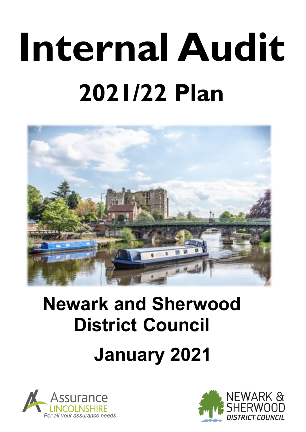# **Internal Audit 2021/22 Plan**



## **Newark and Sherwood District Council January 2021**



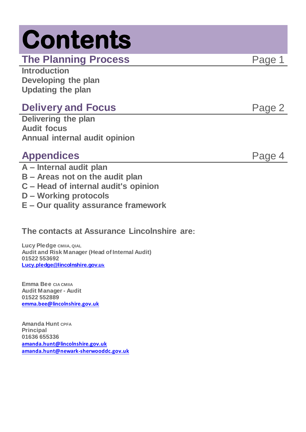## **Contents**

**The Planning Process** Page 1

**Introduction Developing the plan Updating the plan**

## **Delivery and Focus Page 2**

**Delivering the plan Audit focus Annual internal audit opinion**

## **Appendices** Page 4

- **A – Internal audit plan**
- **B – Areas not on the audit plan**
- **C – Head of internal audit's opinion**
- **D – Working protocols**
- **E – Our quality assurance framework**

## **The contacts at Assurance Lincolnshire are:**

**Lucy Pledge CMIIA, QIAL Audit and Risk Manager (Head of Internal Audit) 01522 553692 [Lucy.pledge@lincolnshire.gov.u](mailto:Lucy.pledge@lincolnshire.gov.uk)k**

**Emma Bee CIA CMIIA Audit Manager - Audit 01522 552889 [emma.bee@lincolnshire.gov.uk](mailto:emma.bee@lincolnshire.gov.uk)**

**Amanda Hunt CPFA Principal 01636 655336 [amanda.hunt@lincolnshire.gov.uk](mailto:amanda.hunt@lincolnshire.gov.uk) amanda.hunt@newark-sherwooddc.gov.uk**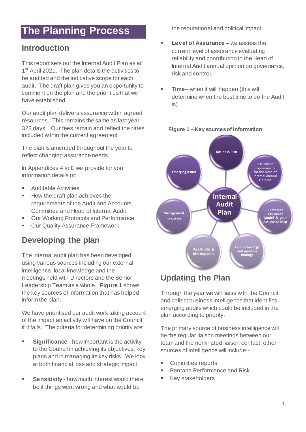## **The Planning Process**

### **Introduction**

This report sets out the Internal Audit Plan as at 1<sup>st</sup> April 2021. The plan details the activities to be audited and the indicative scope for each audit. The draft plan gives you an opportunity to comment on the plan and the priorities that we have established.

Our audit plan delivers assurance within agreed resources. This remains the same as last year – 323 days. Our fees remain and reflect the rates included within the current agreement.

The plan is amended throughout the year to reflect changing assurance needs.

In Appendices A to E we provide for you information details of:

- **Auditable Activities**
- How the draft plan achieves the requirements of the Audit and Accounts Committee and Head of Internal Audit
- Our Working Protocols and Performance
- **Our Quality Assurance Framework**

## **Developing the plan**

The internal audit plan has been developed using various sources including our external intelligence, local knowledge and the meetings held with Directors and the Senior Leadership Team as a whole. **Figure 1** shows the key sources of information that has helped inform the plan.

We have prioritised our audit work taking account of the impact an activity will have on the Council if it fails. The criteria for determining priority are:

- **Significance** how important is the activity to the Council in achieving its objectives, key plans and in managing its key risks. We look at both financial loss and strategic impact.
- **Sensitivity**  how much interest would there be if things went wrong and what would be

the reputational and political impact.

- **Level of Assurance –** we assess the current level of assurance evaluating reliability and contribution to the Head of Internal Audit annual opinion on governance, risk and control.
- **Time** when it will happen (this will determine when the best time to do the Audit is).



#### **Figure 1 – Key sources of information**

## **Updating the Plan**

Through the year we will liaise with the Council and collect business intelligence that identifies emerging audits which could be included in the plan according to priority.

The primary source of business intelligence will be the regular liaison meetings between our team and the nominated liaison contact, other sources of intelligence will include:-

- Committee reports
- Pentana Performance and Risk
- **Key stakeholders**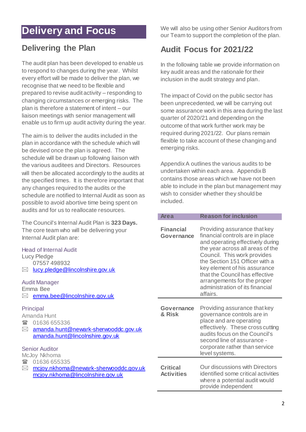## **Delivery and Focus**

### **Delivering the Plan**

The audit plan has been developed to enable us to respond to changes during the year. Whilst every effort will be made to deliver the plan, we recognise that we need to be flexible and prepared to revise audit activity – responding to changing circumstances or emerging risks. The plan is therefore a statement of intent – our liaison meetings with senior management will enable us to firm up audit activity during the year.

The aim is to deliver the audits included in the plan in accordance with the schedule which will be devised once the plan is agreed. The schedule will be drawn up following liaison with the various auditees and Directors. Resources will then be allocated accordingly to the audits at the specified times. It is therefore important that any changes required to the audits or the schedule are notified to Internal Audit as soon as possible to avoid abortive time being spent on audits and for us to reallocate resources.

The Council's Internal Audit Plan is **323 Days.** The core team who will be delivering your Internal Audit plan are:

#### Head of Internal Audit

| Lucy Pledge |                                              |  |  |  |  |  |
|-------------|----------------------------------------------|--|--|--|--|--|
|             | 07557498932                                  |  |  |  |  |  |
|             | $\boxtimes$ lucy.pledge @lincolnshire.gov.uk |  |  |  |  |  |

#### Audit Manager

Emma Bee ⊠ [emma.bee@lincolnshire.gov.uk](mailto:emma.bee@lincolnshire.gov.uk)

#### Principal

Amanda Hunt

- 1636 655336
- [amanda.hunt@newark-sherwooddc.gov.uk](mailto:amanda.hunt@newark-sherwooddc.gov.uk) [amanda.hunt@lincolnshire.gov.uk](mailto:amanda.hunt@lincolnshire.gov.uk)

#### Senior Auditor

McJoy Nkhoma

- 01636 655335
- [mcjoy.nkhoma@newark-sherwooddc.gov.uk](mailto:mcjoy.nkhoma@newark-sherwooddc.gov.uk) [mcjoy.nkhoma@lincolnshire.gov.uk](mailto:mcjoy.nkhoma@lincolnshire.gov.uk)

We will also be using other Senior Auditors from our Team to support the completion of the plan.

## **Audit Focus for 2021/22**

In the following table we provide information on key audit areas and the rationale for their inclusion in the audit strategy and plan.

The impact of Covid on the public sector has been unprecedented, we will be carrying out some assurance work in this area during the last quarter of 2020/21 and depending on the outcome of that work further work may be required during 2021/22. Our plans remain flexible to take account of these changing and emerging risks.

Appendix A outlines the various audits to be undertaken within each area. Appendix B contains those areas which we have not been able to include in the plan but management may wish to consider whether they should be included.

| <b>Area</b>                          | <b>Reason for inclusion</b>                                                                                                                                                                                                                                                                                                                              |
|--------------------------------------|----------------------------------------------------------------------------------------------------------------------------------------------------------------------------------------------------------------------------------------------------------------------------------------------------------------------------------------------------------|
| <b>Financial</b><br>Governance       | Providing assurance that key<br>financial controls are in place<br>and operating effectively during<br>the year across all areas of the<br>Council. This work provides<br>the Section 151 Officer with a<br>key element of his assurance<br>that the Council has effective<br>arrangements for the proper<br>administration of its financial<br>affairs. |
| Governance<br>& Risk                 | Providing assurance that key<br>governance controls are in<br>place and are operating<br>effectively. These cross cutting<br>audits focus on the Council's<br>second line of assurance -<br>corporate rather than service<br>level systems.                                                                                                              |
| <b>Critical</b><br><b>Activities</b> | Our discussions with Directors<br>identified some critical activities<br>where a potential audit would<br>provide independent                                                                                                                                                                                                                            |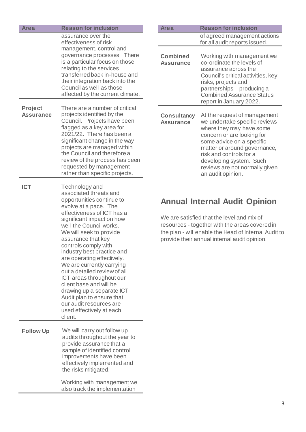| <b>Area</b>                 | <b>Reason for inclusion</b>                                                                                                                                                                                                                                                                                                                                                                                                                                                                                                                                               | <b>Area</b>                            | <b>Reason for inclusion</b>                                                                                                                                                                                                                                                                       |
|-----------------------------|---------------------------------------------------------------------------------------------------------------------------------------------------------------------------------------------------------------------------------------------------------------------------------------------------------------------------------------------------------------------------------------------------------------------------------------------------------------------------------------------------------------------------------------------------------------------------|----------------------------------------|---------------------------------------------------------------------------------------------------------------------------------------------------------------------------------------------------------------------------------------------------------------------------------------------------|
|                             | assurance over the<br>effectiveness of risk                                                                                                                                                                                                                                                                                                                                                                                                                                                                                                                               |                                        | of agreed management actions<br>for all audit reports issued.                                                                                                                                                                                                                                     |
|                             | management, control and<br>governance processes. There<br>is a particular focus on those<br>relating to the services<br>transferred back in-house and<br>their integration back into the<br>Council as well as those<br>affected by the current climate.                                                                                                                                                                                                                                                                                                                  | <b>Combined</b><br><b>Assurance</b>    | Working with management we<br>co-ordinate the levels of<br>assurance across the<br>Council's critical activities, key<br>risks, projects and<br>partnerships - producing a<br><b>Combined Assurance Status</b><br>report in January 2022.                                                         |
| Project<br><b>Assurance</b> | There are a number of critical<br>projects identified by the<br>Council. Projects have been<br>flagged as a key area for<br>2021/22. There has been a<br>significant change in the way<br>projects are managed within<br>the Council and therefore a<br>review of the process has been<br>requested by management<br>rather than specific projects.                                                                                                                                                                                                                       | <b>Consultancy</b><br><b>Assurance</b> | At the request of management<br>we undertake specific reviews<br>where they may have some<br>concern or are looking for<br>some advice on a specific<br>matter or around governance,<br>risk and controls for a<br>developing system. Such<br>reviews are not normally given<br>an audit opinion. |
| <b>ICT</b>                  | Technology and<br>associated threats and<br>opportunities continue to<br>evolve at a pace. The<br>effectiveness of ICT has a<br>significant impact on how<br>well the Council works.<br>We will seek to provide<br>assurance that key<br>controls comply with<br>industry best practice and<br>are operating effectively.<br>We are currently carrying<br>out a detailed review of all<br>ICT areas throughout our<br>client base and will be<br>drawing up a separate ICT<br>Audit plan to ensure that<br>our audit resources are<br>used effectively at each<br>client. |                                        | <b>Annual Internal Audit Opinion</b><br>We are satisfied that the level and mix of<br>resources - together with the areas covered in<br>the plan - will enable the Head of Internal Audit to<br>provide their annual internal audit opinion.                                                      |
| <b>Follow Up</b>            | We will carry out follow up<br>audits throughout the year to<br>provide assurance that a<br>sample of identified control<br>improvements have been<br>effectively implemented and<br>the risks mitigated.                                                                                                                                                                                                                                                                                                                                                                 |                                        |                                                                                                                                                                                                                                                                                                   |
|                             | Working with management we<br>also track the implementation                                                                                                                                                                                                                                                                                                                                                                                                                                                                                                               |                                        |                                                                                                                                                                                                                                                                                                   |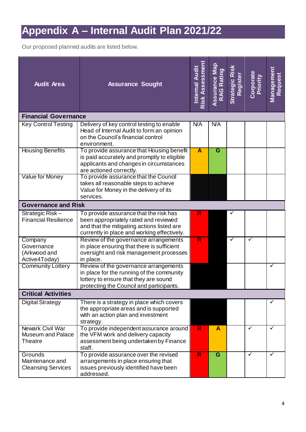## **Appendix A – Internal Audit Plan 2021/22**

Our proposed planned audits are listed below.

| <b>Audit Area</b>                                                     | Internal Audit<br><b>Assurance Sought</b>                                                                                                                                    |              | Assurance Map<br>RAG Rating | Strategic Risk<br>Register | Corporate<br>Priority | <u>Management</u><br>Request |
|-----------------------------------------------------------------------|------------------------------------------------------------------------------------------------------------------------------------------------------------------------------|--------------|-----------------------------|----------------------------|-----------------------|------------------------------|
| <b>Financial Governance</b>                                           |                                                                                                                                                                              |              |                             |                            |                       |                              |
| <b>Key Control Testing</b>                                            | Delivery of key control testing to enable<br>Head of Internal Audit to form an opinion<br>on the Council's financial control<br>environment.                                 | <b>N/A</b>   | <b>N/A</b>                  |                            |                       |                              |
| <b>Housing Benefits</b>                                               | To provide assurance that Housing benefit<br>is paid accurately and promptly to eligible<br>applicants and changes in circumstances<br>are actioned correctly.               | A            | $\overline{\mathsf{G}}$     |                            |                       |                              |
| Value for Money                                                       | To provide assurance that the Council<br>takes all reasonable steps to achieve<br>Value for Money in the delivery of its<br>services.                                        |              |                             |                            |                       |                              |
| <b>Governance and Risk</b>                                            |                                                                                                                                                                              |              |                             |                            |                       |                              |
| Strategic Risk-<br><b>Financial Resilience</b>                        | To provide assurance that the risk has<br>been appropriately rated and reviewed<br>and that the mitigating actions listed are<br>currently in place and working effectively. | $\mathsf{R}$ |                             |                            |                       |                              |
| Company<br>Governance<br>(Arkwood and<br>Active4Today)                | Review of the governance arrangements<br>in place ensuring that there is sufficient<br>oversight and risk management processes<br>in place.                                  | R            |                             | ✓                          | ✓                     |                              |
| <b>Community Lottery</b>                                              | Review of the governance arrangements<br>in place for the running of the community<br>lottery to ensure that they are sound<br>protecting the Council and participants.      |              |                             |                            |                       | ✓                            |
| <b>Critical Activities</b>                                            |                                                                                                                                                                              |              |                             |                            |                       |                              |
| <b>Digital Strategy</b>                                               | There is a strategy in place which covers<br>the appropriate areas and is supported<br>with an action plan and investment<br>strategy.                                       |              |                             |                            |                       | ✓                            |
| <b>Newark Civil War</b><br><b>Museum and Palace</b><br><b>Theatre</b> | To provide independent assurance around<br>the VFM work and delivery capacity<br>assessment being undertaken by Finance<br>staff.                                            | $\mathsf{R}$ | A                           |                            | ✓                     | ✓                            |
| Grounds<br>Maintenance and<br><b>Cleansing Services</b>               | To provide assurance over the revised<br>arrangements in place ensuring that<br>issues previously identified have been<br>addressed.                                         | $\mathsf{R}$ | G                           |                            | ✓                     | ✓                            |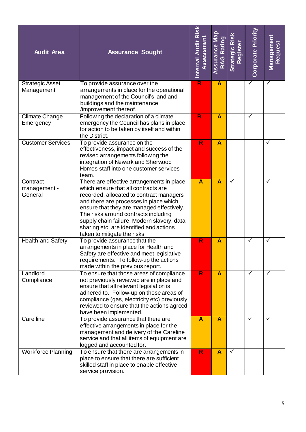| <b>Audit Area</b>                    | <b>Assurance Sought</b>                                                                                                                                                                                                                                                                                                                                                              | Internal Audit Risk<br>Assessment | Assurance Map<br><b>RAG Rating</b> | Strategic Risk<br>Register | Corporate Priority | <b>Managemen</b><br>Request |
|--------------------------------------|--------------------------------------------------------------------------------------------------------------------------------------------------------------------------------------------------------------------------------------------------------------------------------------------------------------------------------------------------------------------------------------|-----------------------------------|------------------------------------|----------------------------|--------------------|-----------------------------|
| <b>Strategic Asset</b><br>Management | To provide assurance over the<br>arrangements in place for the operational<br>management of the Council's land and<br>buildings and the maintenance<br>/improvement thereof.                                                                                                                                                                                                         | $\overline{\mathsf{R}}$           | $\overline{\mathsf{A}}$            |                            | ✓                  | ✓                           |
| <b>Climate Change</b><br>Emergency   | Following the declaration of a climate<br>emergency the Council has plans in place<br>for action to be taken by itself and within<br>the District.                                                                                                                                                                                                                                   | R                                 | $\overline{\mathsf{A}}$            |                            | ✓                  |                             |
| <b>Customer Services</b>             | To provide assurance on the<br>effectiveness, impact and success of the<br>revised arrangements following the<br>integration of Newark and Sherwood<br>Homes staff into one customer services<br>team.                                                                                                                                                                               | R                                 | $\overline{\mathsf{A}}$            |                            |                    | ✓                           |
| Contract<br>management -<br>General  | There are effective arrangements in place<br>which ensure that all contracts are<br>recorded, allocated to contract managers<br>and there are processes in place which<br>ensure that they are managed effectively.<br>The risks around contracts including<br>supply chain failure, Modern slavery, data<br>sharing etc. are identified and actions<br>taken to mitigate the risks. | A                                 | $\overline{\mathsf{A}}$            | ✓                          |                    | ✓                           |
| <b>Health and Safety</b>             | To provide assurance that the<br>arrangements in place for Health and<br>Safety are effective and meet legislative<br>requirements. To follow-up the actions<br>made within the previous report.                                                                                                                                                                                     | R                                 | $\overline{\mathsf{A}}$            |                            | ✓                  | ✓                           |
| Landlord<br>Compliance               | To ensure that those areas of compliance<br>not previously reviewed are in place and<br>ensure that all relevant legislation is<br>adhered to. Follow-up on those areas of<br>compliance (gas, electricity etc) previously<br>reviewed to ensure that the actions agreed<br>have been implemented.                                                                                   | R                                 | $\mathbf{A}$                       |                            | ✓                  | ✓                           |
| Care line                            | To provide assurance that there are<br>effective arrangements in place for the<br>management and delivery of the Careline<br>service and that all items of equipment are<br>logged and accounted for.                                                                                                                                                                                | A                                 | $\overline{\mathsf{A}}$            |                            | ✓                  | ✓                           |
| <b>Workforce Planning</b>            | To ensure that there are arrangements in<br>place to ensure that there are sufficient<br>skilled staff in place to enable effective<br>service provision.                                                                                                                                                                                                                            | R                                 | $\mathbf{A}$                       | $\checkmark$               |                    |                             |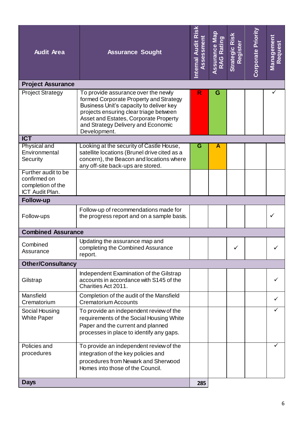| <b>Audit Area</b>                                                           | <b>Assurance Sought</b>                                                                                                                                                                                                                                           |     | <b>Assurance Map</b><br><b>RAG Rating</b> | Strategic Risk<br>Register | Corporate Priority | <u>Management</u><br><b>Request</b> |
|-----------------------------------------------------------------------------|-------------------------------------------------------------------------------------------------------------------------------------------------------------------------------------------------------------------------------------------------------------------|-----|-------------------------------------------|----------------------------|--------------------|-------------------------------------|
| <b>Project Assurance</b>                                                    |                                                                                                                                                                                                                                                                   | R   |                                           |                            |                    |                                     |
| <b>Project Strategy</b>                                                     | To provide assurance over the newly<br>formed Corporate Property and Strategy<br>Business Unit's capacity to deliver key<br>projects ensuring clear triage between<br>Asset and Estates, Corporate Property<br>and Strategy Delivery and Economic<br>Development. |     | G                                         |                            |                    |                                     |
| <b>ICT</b>                                                                  |                                                                                                                                                                                                                                                                   |     |                                           |                            |                    |                                     |
| <b>Physical and</b><br>Environmental<br>Security                            | Looking at the security of Castle House,<br>satellite locations (Brunel drive cited as a<br>concern), the Beacon and locations where<br>any off-site back-ups are stored.                                                                                         | G   | A                                         |                            |                    |                                     |
| Further audit to be<br>confirmed on<br>completion of the<br>ICT Audit Plan. |                                                                                                                                                                                                                                                                   |     |                                           |                            |                    |                                     |
| <b>Follow-up</b>                                                            |                                                                                                                                                                                                                                                                   |     |                                           |                            |                    |                                     |
| Follow-ups                                                                  | Follow-up of recommendations made for<br>the progress report and on a sample basis.                                                                                                                                                                               |     |                                           |                            |                    |                                     |
| <b>Combined Assurance</b>                                                   |                                                                                                                                                                                                                                                                   |     |                                           |                            |                    |                                     |
| Combined<br>Assurance                                                       | Updating the assurance map and<br>completing the Combined Assurance<br>report.                                                                                                                                                                                    |     |                                           |                            |                    |                                     |
| <b>Other/Consultancy</b>                                                    |                                                                                                                                                                                                                                                                   |     |                                           |                            |                    |                                     |
| Gilstrap                                                                    | Independent Examination of the Gilstrap<br>accounts in accordance with S145 of the<br>Charities Act 2011.                                                                                                                                                         |     |                                           |                            |                    |                                     |
| Mansfield<br>Crematorium                                                    | Completion of the audit of the Mansfield<br><b>Crematorium Accounts</b>                                                                                                                                                                                           |     |                                           |                            |                    |                                     |
| Social Housing<br><b>White Paper</b>                                        | To provide an independent review of the<br>requirements of the Social Housing White<br>Paper and the current and planned<br>processes in place to identify any gaps.                                                                                              |     |                                           |                            |                    |                                     |
| Policies and<br>procedures                                                  | To provide an independent review of the<br>integration of the key policies and<br>procedures from Newark and Sherwood<br>Homes into those of the Council.                                                                                                         |     |                                           |                            |                    |                                     |
| <b>Days</b>                                                                 |                                                                                                                                                                                                                                                                   | 285 |                                           |                            |                    |                                     |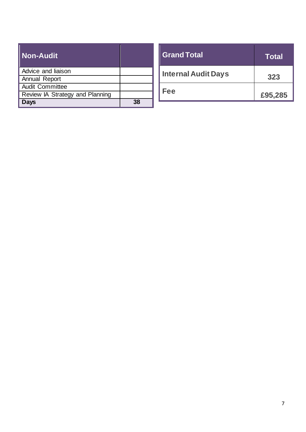| <b>Non-Audit</b>                |    |
|---------------------------------|----|
| Advice and liaison              |    |
| <b>Annual Report</b>            |    |
| <b>Audit Committee</b>          |    |
| Review IA Strategy and Planning |    |
| )ays                            | 38 |

| <b>Grand Total</b>         | <b>Total</b> |
|----------------------------|--------------|
| <b>Internal Audit Days</b> | 323          |
| Fee                        | £95,285      |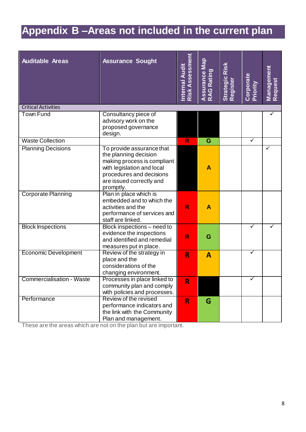## **Appendix B –Areas not included in the current plan**

| <b>Auditable Areas</b>      | <b>Assurance Sought</b>                                                                                                                                                              | Risk Assessment<br><b>Internal Audit</b> | Assurance Map<br>RAG Rating | Risk<br>Strategic<br>Register | Corporate<br>Priority | Management<br>Request |
|-----------------------------|--------------------------------------------------------------------------------------------------------------------------------------------------------------------------------------|------------------------------------------|-----------------------------|-------------------------------|-----------------------|-----------------------|
| <b>Critical Activities</b>  |                                                                                                                                                                                      |                                          |                             |                               |                       |                       |
| <b>Town Fund</b>            | Consultancy piece of<br>advisory work on the<br>proposed governance<br>design.                                                                                                       |                                          |                             |                               |                       |                       |
| <b>Waste Collection</b>     |                                                                                                                                                                                      | R                                        | G                           |                               | $\checkmark$          |                       |
| <b>Planning Decisions</b>   | To provide assurance that<br>the planning decision<br>making process is compliant<br>with legislation and local<br>procedures and decisions<br>are issued correctly and<br>promptly. |                                          | A                           |                               |                       | ✓                     |
| <b>Corporate Planning</b>   | Plan in place which is<br>embedded and to which the<br>activities and the<br>performance of services and<br>staff are linked.                                                        | R                                        | A                           |                               |                       |                       |
| <b>Block Inspections</b>    | Block inspections – need to<br>evidence the inspections<br>and identified and remedial<br>measures put in place.                                                                     | R                                        | G                           |                               | ✓                     |                       |
| <b>Economic Development</b> | Review of the strategy in<br>place and the<br>considerations of the<br>changing environment.                                                                                         | R                                        | $\mathbf{A}$                |                               | ✓                     |                       |
| Commercialisation - Waste   | Processes in place linked to<br>community plan and comply<br>with policies and processes.                                                                                            | R                                        |                             |                               | ✓                     |                       |
| Performance                 | Review of the revised<br>performance indicators and<br>the link with the Community<br>Plan and management.                                                                           | $\mathsf{R}$                             | G                           |                               |                       |                       |

These are the areas which are not on the plan but are important.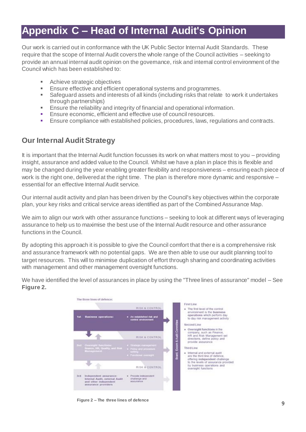## **Appendix C – Head of Internal Audit's Opinion**

Our work is carried out in conformance with the UK Public Sector Internal Audit Standards. These require that the scope of Internal Audit covers the whole range of the Council activities – seeking to provide an annual internal audit opinion on the governance, risk and internal control environment of the Council which has been established to:

- **Achieve strategic objectives**
- **Ensure effective and efficient operational systems and programmes.**
- Safeguard assets and interests of all kinds (including risks that relate to work it undertakes through partnerships)
- Ensure the reliability and integrity of financial and operational information.
- **Ensure economic, efficient and effective use of council resources.**
- **Ensure compliance with established policies, procedures, laws, regulations and contracts.**

#### **Our Internal Audit Strategy**

It is important that the Internal Audit function focusses its work on what matters most to you – providing insight, assurance and added value to the Council. Whilst we have a plan in place this is flexible and may be changed during the year enabling greater flexibility and responsiveness – ensuring each piece of work is the right one, delivered at the right time. The plan is therefore more dynamic and responsive – essential for an effective Internal Audit service.

Our internal audit activity and plan has been driven by the Council's key objectives within the corporate plan, your key risks and critical service areas identified as part of the Combined Assurance Map.

We aim to align our work with other assurance functions – seeking to look at different ways of leveraging assurance to help us to maximise the best use of the Internal Audit resource and other assurance functions in the Council.

By adopting this approach it is possible to give the Council comfort that there is a comprehensive risk and assurance framework with no potential gaps. We are then able to use our audit planning tool to target resources. This will to minimise duplication of effort through sharing and coordinating activities with management and other management oversight functions.



We have identified the level of assurances in place by using the "Three lines of assurance" model – See **Figure 2.**

**Figure 2 – The three lines of defence**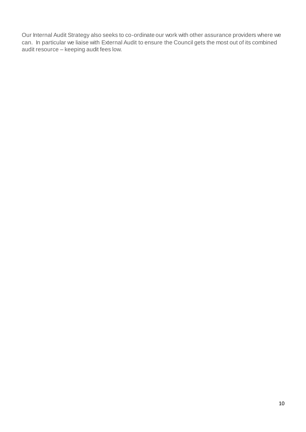Our Internal Audit Strategy also seeks to co-ordinate our work with other assurance providers where we can. In particular we liaise with External Audit to ensure the Council gets the most out of its combined audit resource – keeping audit fees low.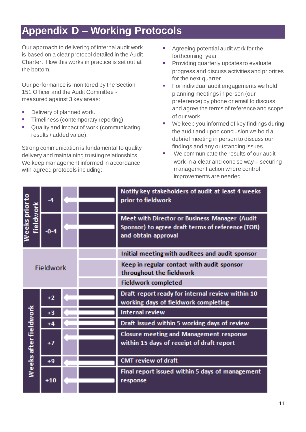## **Appendix D – Working Protocols**

Our approach to delivering of internal audit work is based on a clear protocol detailed in the Audit Charter. How this works in practice is set out at the bottom.

Our performance is monitored by the Section 151 Officer and the Audit Committee measured against 3 key areas:

- Delivery of planned work.
- **Timeliness (contemporary reporting).**
- **Quality and Impact of work (communicating** results / added value).

Strong communication is fundamental to quality delivery and maintaining trusting relationships. We keep management informed in accordance with agreed protocols including:

- Agreeing potential audit work for the forthcoming year
- **Providing quarterly updates to evaluate** progress and discuss activities and priorities for the next quarter.
- **For individual audit engagements we hold** planning meetings in person (our preference) by phone or email to discuss and agree the terms of reference and scope of our work.
- We keep you informed of key findings during the audit and upon conclusion we hold a debrief meeting in person to discuss our findings and any outstanding issues.
- We communicate the results of our audit work in a clear and concise way – securing management action where control improvements are needed.

|                             | $-4$   |                                                                        | Notify key stakeholders of audit at least 4 weeks<br>prior to fieldwork                                                  |
|-----------------------------|--------|------------------------------------------------------------------------|--------------------------------------------------------------------------------------------------------------------------|
| Weeks prior to<br>fieldwork | $-0-4$ |                                                                        | Meet with Director or Business Manager (Audit<br>Sponsor) to agree draft terms of reference (TOR)<br>and obtain approval |
|                             |        |                                                                        | Initial meeting with auditees and audit sponsor                                                                          |
| Fieldwork                   |        | Keep in regular contact with audit sponsor<br>throughout the fieldwork |                                                                                                                          |
|                             |        |                                                                        | <b>Fieldwork completed</b>                                                                                               |
|                             | $+2$   |                                                                        | Draft report ready for internal review within 10<br>working days of fieldwork completing                                 |
|                             | $+3$   |                                                                        | <b>Internal review</b>                                                                                                   |
|                             | $+4$   |                                                                        | Draft issued within 5 working days of review                                                                             |
| Weeks after fieldwork       | $+7$   |                                                                        | <b>Closure meeting and Management response</b><br>within 15 days of receipt of draft report                              |
|                             | $+9$   |                                                                        | <b>CMT</b> review of draft                                                                                               |
|                             | $+10$  |                                                                        | Final report issued within 5 days of management<br>response                                                              |